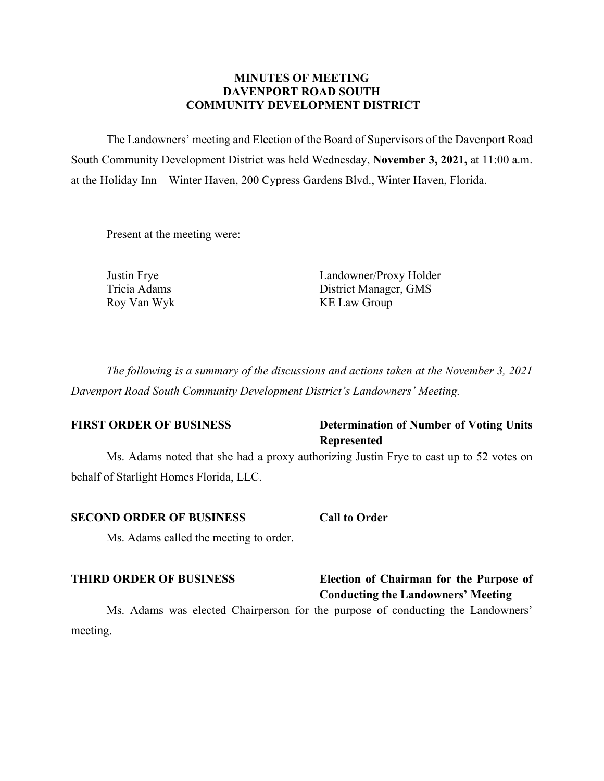### **MINUTES OF MEETING DAVENPORT ROAD SOUTH COMMUNITY DEVELOPMENT DISTRICT**

The Landowners' meeting and Election of the Board of Supervisors of the Davenport Road South Community Development District was held Wednesday, **November 3, 2021,** at 11:00 a.m. at the Holiday Inn – Winter Haven, 200 Cypress Gardens Blvd., Winter Haven, Florida.

Present at the meeting were:

Justin Frye Landowner/Proxy Holder Tricia Adams District Manager, GMS Roy Van Wyk KE Law Group

*The following is a summary of the discussions and actions taken at the November 3, 2021 Davenport Road South Community Development District's Landowners' Meeting.*

### **FIRST ORDER OF BUSINESS Determination of Number of Voting Units Represented**

Ms. Adams noted that she had a proxy authorizing Justin Frye to cast up to 52 votes on behalf of Starlight Homes Florida, LLC.

### **SECOND ORDER OF BUSINESS Call to Order**

Ms. Adams called the meeting to order.

### **THIRD ORDER OF BUSINESS Election of Chairman for the Purpose of**

# **Conducting the Landowners' Meeting**

Ms. Adams was elected Chairperson for the purpose of conducting the Landowners' meeting.